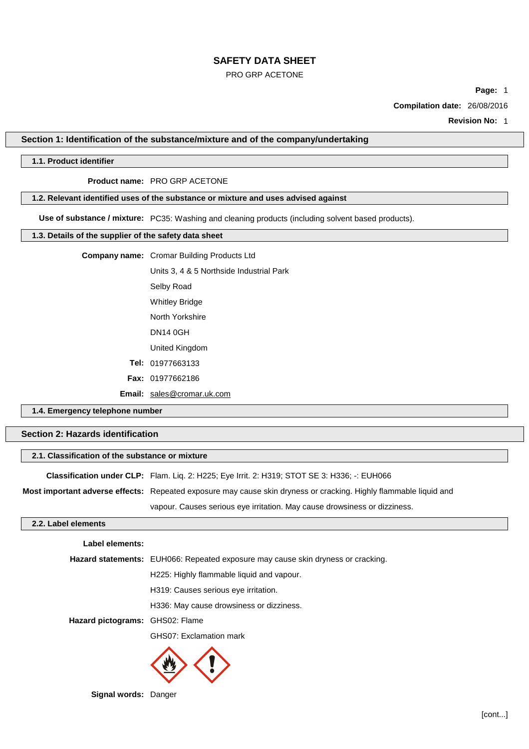#### PRO GRP ACETONE

**Page:** 1

**Compilation date:** 26/08/2016

**Revision No:** 1

## **Section 1: Identification of the substance/mixture and of the company/undertaking**

# **1.1. Product identifier**

## **Product name:** PRO GRP ACETONE

## **1.2. Relevant identified uses of the substance or mixture and uses advised against**

**Use of substance / mixture:** PC35: Washing and cleaning products (including solvent based products).

## **1.3. Details of the supplier of the safety data sheet**

|  | <b>Company name:</b> Cromar Building Products Ltd |  |
|--|---------------------------------------------------|--|
|--|---------------------------------------------------|--|

Units 3, 4 & 5 Northside Industrial Park Selby Road Whitley Bridge North Yorkshire DN14 0GH United Kingdom **Tel:** 01977663133 **Fax:** 01977662186

**Email:** [sales@cromar.uk.com](mailto:sales@cromar.uk.com)

## **1.4. Emergency telephone number**

## **Section 2: Hazards identification**

| 2.1. Classification of the substance or mixture |                                                                                                                   |  |
|-------------------------------------------------|-------------------------------------------------------------------------------------------------------------------|--|
|                                                 | <b>Classification under CLP:</b> Flam. Lig. 2: H225; Eye Irrit. 2: H319; STOT SE 3: H336; -: EUH066               |  |
|                                                 | Most important adverse effects: Repeated exposure may cause skin dryness or cracking. Highly flammable liquid and |  |
|                                                 | vapour. Causes serious eye irritation. May cause drowsiness or dizziness.                                         |  |

#### **2.2. Label elements**

| Label elements:                 |                                                                                  |
|---------------------------------|----------------------------------------------------------------------------------|
|                                 | Hazard statements: EUH066: Repeated exposure may cause skin dryness or cracking. |
|                                 | H225: Highly flammable liquid and vapour.                                        |
|                                 | H319: Causes serious eye irritation.                                             |
|                                 | H336: May cause drowsiness or dizziness.                                         |
| Hazard pictograms: GHS02: Flame |                                                                                  |
|                                 | GHS07: Exclamation mark                                                          |
|                                 |                                                                                  |



**Signal words:** Danger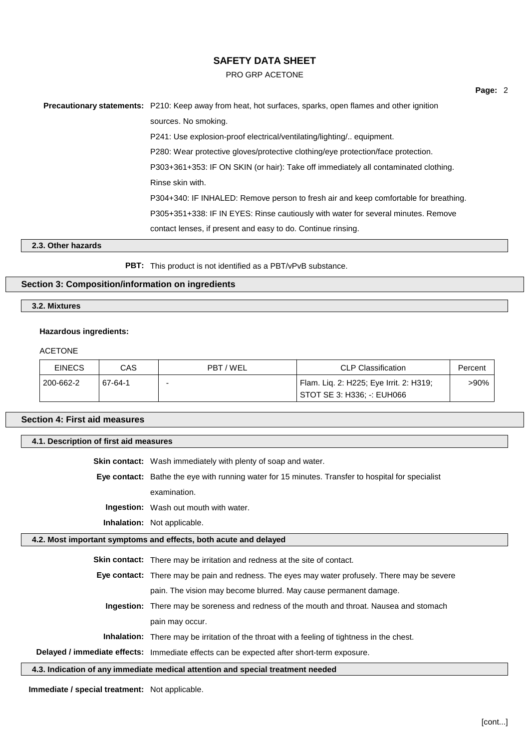#### PRO GRP ACETONE

**Precautionary statements:** P210: Keep away from heat, hot surfaces, sparks, open flames and other ignition sources. No smoking. P241: Use explosion-proof electrical/ventilating/lighting/.. equipment. P280: Wear protective gloves/protective clothing/eye protection/face protection. P303+361+353: IF ON SKIN (or hair): Take off immediately all contaminated clothing. Rinse skin with. P304+340: IF INHALED: Remove person to fresh air and keep comfortable for breathing. P305+351+338: IF IN EYES: Rinse cautiously with water for several minutes. Remove contact lenses, if present and easy to do. Continue rinsing.

# **2.3. Other hazards**

**PBT:** This product is not identified as a PBT/vPvB substance.

### **Section 3: Composition/information on ingredients**

# **3.2. Mixtures**

#### **Hazardous ingredients:**

#### ACETONE

| <b>EINECS</b> | CAS     | PBT / WEL | <b>CLP Classification</b>               | Percent |
|---------------|---------|-----------|-----------------------------------------|---------|
| 200-662-2     | 67-64-1 |           | Flam. Lig. 2: H225; Eye Irrit. 2: H319; | >90%    |
|               |         |           | STOT SE 3: H336: -: EUH066              |         |

### **Section 4: First aid measures**

#### **4.1. Description of first aid measures**

**Skin contact:** Wash immediately with plenty of soap and water.

**Eye contact:** Bathe the eye with running water for 15 minutes. Transfer to hospital for specialist examination.

**Ingestion:** Wash out mouth with water.

**Inhalation:** Not applicable.

## **4.2. Most important symptoms and effects, both acute and delayed**

**Skin contact:** There may be irritation and redness at the site of contact.

**Eye contact:** There may be pain and redness. The eyes may water profusely. There may be severe pain. The vision may become blurred. May cause permanent damage.

**Ingestion:** There may be soreness and redness of the mouth and throat. Nausea and stomach pain may occur.

**Inhalation:** There may be irritation of the throat with a feeling of tightness in the chest.

**Delayed / immediate effects:** Immediate effects can be expected after short-term exposure.

**4.3. Indication of any immediate medical attention and special treatment needed**

**Immediate / special treatment:** Not applicable.

**Page:** 2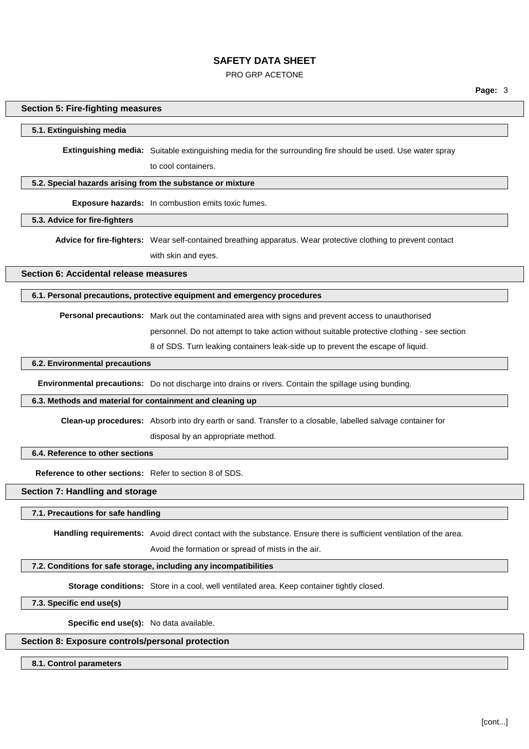### PRO GRP ACETONE

**Page:** 3

## **Section 5: Fire-fighting measures**

## **5.1. Extinguishing media**

**Extinguishing media:** Suitable extinguishing media for the surrounding fire should be used. Use water spray

to cool containers.

#### **5.2. Special hazards arising from the substance or mixture**

**Exposure hazards:** In combustion emits toxic fumes.

## **5.3. Advice for fire-fighters**

**Advice for fire-fighters:** Wear self-contained breathing apparatus. Wear protective clothing to prevent contact with skin and eyes.

**Section 6: Accidental release measures**

**6.1. Personal precautions, protective equipment and emergency procedures**

**Personal precautions:** Mark out the contaminated area with signs and prevent access to unauthorised

personnel. Do not attempt to take action without suitable protective clothing - see section

8 of SDS. Turn leaking containers leak-side up to prevent the escape of liquid.

### **6.2. Environmental precautions**

**Environmental precautions:** Do not discharge into drains or rivers. Contain the spillage using bunding.

## **6.3. Methods and material for containment and cleaning up**

**Clean-up procedures:** Absorb into dry earth or sand. Transfer to a closable, labelled salvage container for

disposal by an appropriate method.

#### **6.4. Reference to other sections**

**Reference to other sections:** Refer to section 8 of SDS.

## **Section 7: Handling and storage**

#### **7.1. Precautions for safe handling**

**Handling requirements:** Avoid direct contact with the substance. Ensure there is sufficient ventilation of the area.

Avoid the formation or spread of mists in the air.

#### **7.2. Conditions for safe storage, including any incompatibilities**

**Storage conditions:** Store in a cool, well ventilated area. Keep container tightly closed.

#### **7.3. Specific end use(s)**

**Specific end use(s):** No data available.

## **Section 8: Exposure controls/personal protection**

#### **8.1. Control parameters**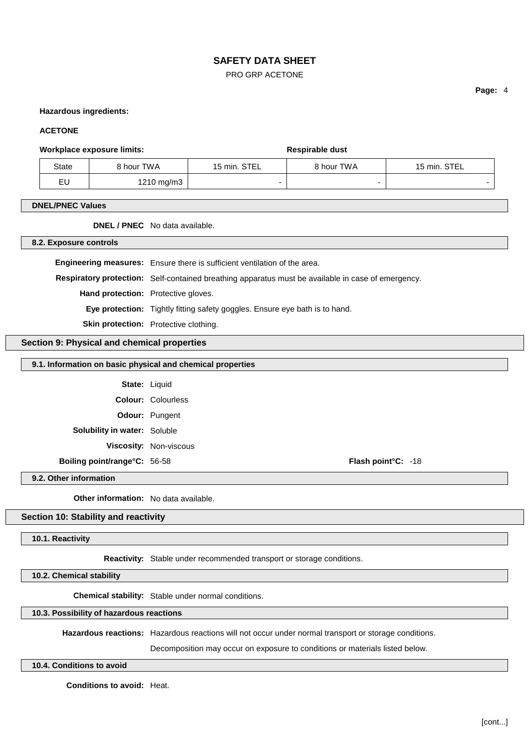PRO GRP ACETONE

### **Hazardous ingredients:**

## **ACETONE**

#### **Workplace** exposure limits: **Respirable** dust

| State           | 8 hour TWA | 15 min. STEL | 8 hour TWA | 15 min. STEL |
|-----------------|------------|--------------|------------|--------------|
| <u>ги</u><br>EU | 1210 mg/m3 | -            |            |              |

### **DNEL/PNEC Values**

**DNEL / PNEC** No data available.

**8.2. Exposure controls**

**Engineering measures:** Ensure there is sufficient ventilation of the area. **Respiratory protection:** Self-contained breathing apparatus must be available in case of emergency. **Hand protection:** Protective gloves. **Eye protection:** Tightly fitting safety goggles. Ensure eye bath is to hand. **Skin protection:** Protective clothing.

## **Section 9: Physical and chemical properties**

## **9.1. Information on basic physical and chemical properties**

**State:** Liquid **Colour:** Colourless **Odour:** Pungent **Solubility in water:** Soluble **Viscosity:** Non-viscous **Boiling point/range°C:** 56-58 **Flash point°C:** -18

**9.2. Other information**

**Other information:** No data available.

#### **Section 10: Stability and reactivity**

**10.1. Reactivity**

**Reactivity:** Stable under recommended transport or storage conditions.

**10.2. Chemical stability**

**Chemical stability:** Stable under normal conditions.

## **10.3. Possibility of hazardous reactions**

**Hazardous reactions:** Hazardous reactions will not occur under normal transport or storage conditions.

Decomposition may occur on exposure to conditions or materials listed below.

#### **10.4. Conditions to avoid**

**Conditions to avoid:** Heat.

**Page:** 4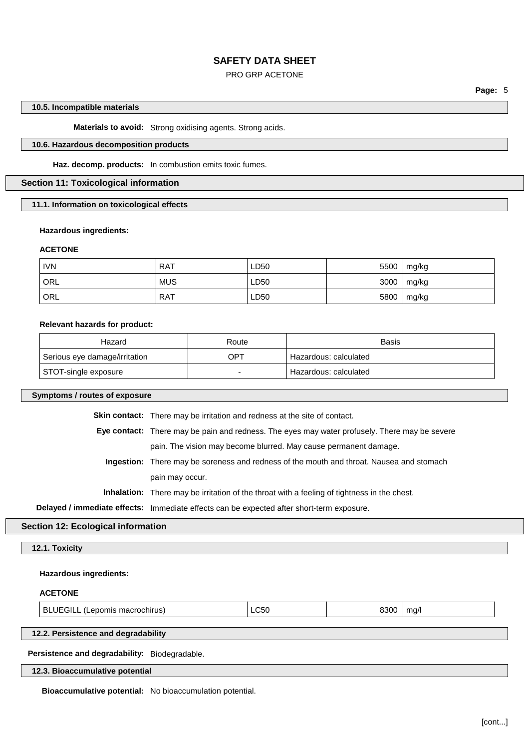### PRO GRP ACETONE

**Page:** 5

## **10.5. Incompatible materials**

**Materials to avoid:** Strong oxidising agents. Strong acids.

## **10.6. Hazardous decomposition products**

**Haz. decomp. products:** In combustion emits toxic fumes.

# **Section 11: Toxicological information**

**11.1. Information on toxicological effects**

## **Hazardous ingredients:**

## **ACETONE**

| <b>IVN</b> | <b>RAT</b> | LD50 | 5500 | mg/kg |
|------------|------------|------|------|-------|
| `ORL       | <b>MUS</b> | LD50 | 3000 | mg/kg |
| ORL        | RAT        | LD50 | 5800 | mg/kg |

#### **Relevant hazards for product:**

| Hazard                        | Route | Basis                   |
|-------------------------------|-------|-------------------------|
| Serious eye damage/irritation | OPT   | ' Hazardous: calculated |
| STOT-single exposure          |       | Hazardous: calculated   |

| Symptoms / routes of exposure                                                             |                                                                                                      |             |      |      |
|-------------------------------------------------------------------------------------------|------------------------------------------------------------------------------------------------------|-------------|------|------|
|                                                                                           | <b>Skin contact:</b> There may be irritation and redness at the site of contact.                     |             |      |      |
|                                                                                           | <b>Eye contact:</b> There may be pain and redness. The eyes may water profusely. There may be severe |             |      |      |
|                                                                                           | pain. The vision may become blurred. May cause permanent damage.                                     |             |      |      |
|                                                                                           | <b>Ingestion:</b> There may be soreness and redness of the mouth and throat. Nausea and stomach      |             |      |      |
|                                                                                           | pain may occur.                                                                                      |             |      |      |
|                                                                                           | <b>Inhalation:</b> There may be irritation of the throat with a feeling of tightness in the chest.   |             |      |      |
| Delayed / immediate effects: Immediate effects can be expected after short-term exposure. |                                                                                                      |             |      |      |
| <b>Section 12: Ecological information</b>                                                 |                                                                                                      |             |      |      |
| 12.1. Toxicity                                                                            |                                                                                                      |             |      |      |
| <b>Hazardous ingredients:</b>                                                             |                                                                                                      |             |      |      |
| <b>ACETONE</b>                                                                            |                                                                                                      |             |      |      |
| BLUEGILL (Lepomis macrochirus)                                                            |                                                                                                      | <b>LC50</b> | 8300 | mq/l |

**12.2. Persistence and degradability**

**Persistence and degradability:** Biodegradable.

## **12.3. Bioaccumulative potential**

**Bioaccumulative potential:** No bioaccumulation potential.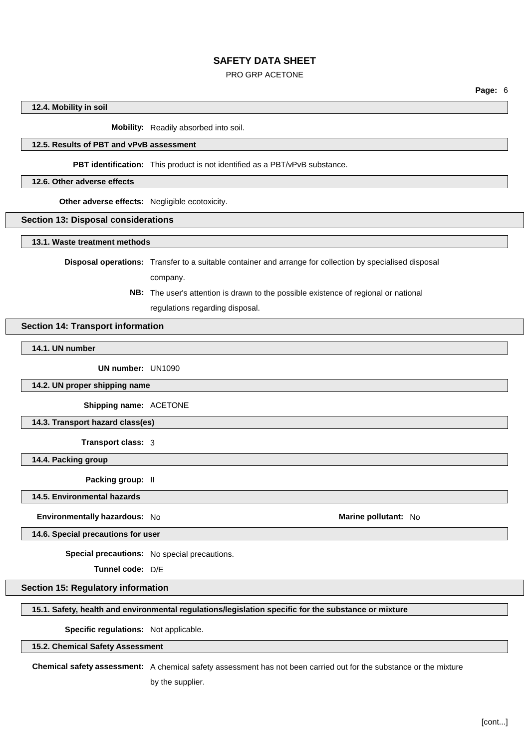## PRO GRP ACETONE

**Page:** 6

#### **12.4. Mobility in soil**

**Mobility:** Readily absorbed into soil.

#### **12.5. Results of PBT and vPvB assessment**

#### **PBT identification:** This product is not identified as a PBT/vPvB substance.

#### **12.6. Other adverse effects**

**Other adverse effects:** Negligible ecotoxicity.

#### **Section 13: Disposal considerations**

#### **13.1. Waste treatment methods**

**Disposal operations:** Transfer to a suitable container and arrange for collection by specialised disposal

company.

**NB:** The user's attention is drawn to the possible existence of regional or national regulations regarding disposal.

# **Section 14: Transport information**

**14.1. UN number**

**UN number:** UN1090

**14.2. UN proper shipping name**

**Shipping name:** ACETONE

**14.3. Transport hazard class(es)**

**Transport class:** 3

**14.4. Packing group**

**Packing group:** II

**14.5. Environmental hazards**

#### **Environmentally hazardous:** No **Marine Marine Marine Marine Marine Marine Marine Marine Marine Marine**

**14.6. Special precautions for user**

**Special precautions:** No special precautions.

**Tunnel code:** D/E

# **Section 15: Regulatory information**

#### **15.1. Safety, health and environmental regulations/legislation specific for the substance or mixture**

# **Specific regulations:** Not applicable.

## **15.2. Chemical Safety Assessment**

**Chemical safety assessment:** A chemical safety assessment has not been carried out for the substance or the mixture

by the supplier.